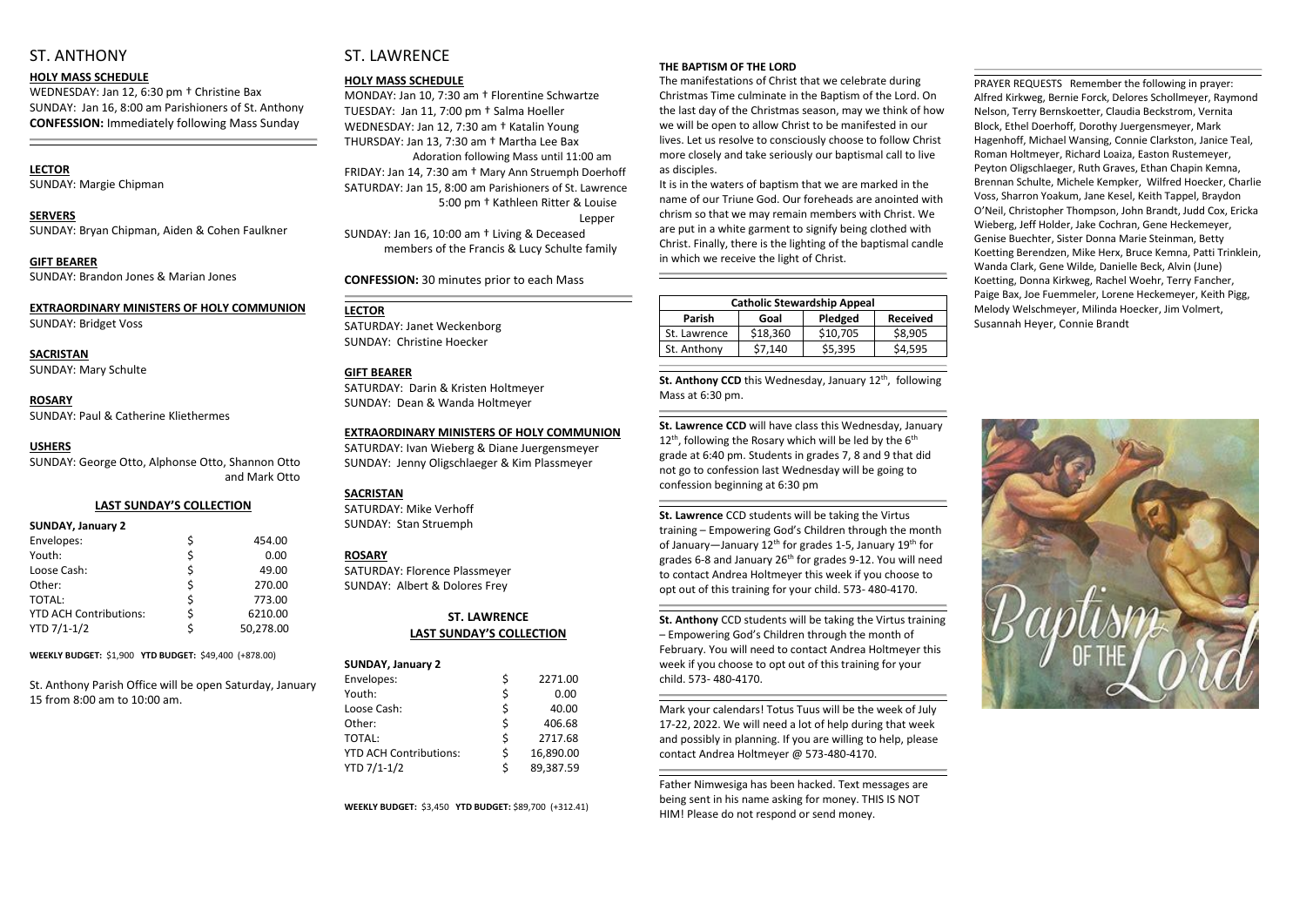# ST. ANTHONY

#### **HOLY MASS SCHEDULE**

WEDNESDAY: Jan 12, 6:30 pm † Christine Bax SUNDAY: Jan 16, 8:00 am Parishioners of St. Anthony **CONFESSION:** Immediately following Mass Sunday

### **LECTOR**

SUNDAY: Margie Chipman

**SERVERS**  SUNDAY: Bryan Chipman, Aiden & Cohen Faulkner

**GIFT BEARER** SUNDAY: Brandon Jones & Marian Jones

# **EXTRAORDINARY MINISTERS OF HOLY COMMUNION**

SUNDAY: Bridget Voss

**SACRISTAN** SUNDAY: Mary Schulte

**ROSARY**  SUNDAY: Paul & Catherine Kliethermes

#### **USHERS**

SUNDAY: George Otto, Alphonse Otto, Shannon Otto and Mark Otto

#### **LAST SUNDAY'S COLLECTION**

#### **SUNDAY, January 2**

| Envelopes:                    | \$ | 454.00    |
|-------------------------------|----|-----------|
| Youth:                        | \$ | 0.00      |
| Loose Cash:                   | \$ | 49.00     |
| Other:                        | \$ | 270.00    |
| <b>TOTAL:</b>                 | \$ | 773.00    |
| <b>YTD ACH Contributions:</b> | Ś. | 6210.00   |
| YTD 7/1-1/2                   | Ś  | 50,278.00 |

**WEEKLY BUDGET:** \$1,900 **YTD BUDGET:** \$49,400 (+878.00)

St. Anthony Parish Office will be open Saturday, January 15 from 8:00 am to 10:00 am.

# ST. LAWRENCE

### **HOLY MASS SCHEDULE**

MONDAY: Jan 10, 7:30 am † Florentine Schwartze TUESDAY: Jan 11, 7:00 pm † Salma Hoeller WEDNESDAY: Jan 12, 7:30 am † Katalin Young THURSDAY: Jan 13, 7:30 am † Martha Lee Bax Adoration following Mass until 11:00 am FRIDAY: Jan 14, 7:30 am † Mary Ann Struemph Doerhoff SATURDAY: Jan 15, 8:00 am Parishioners of St. Lawrence 5:00 pm † Kathleen Ritter & Louise Lepper SUNDAY: Jan 16, 10:00 am † Living & Deceased members of the Francis & Lucy Schulte family

**CONFESSION:** 30 minutes prior to each Mass

## **LECTOR**

SATURDAY: Janet Weckenborg SUNDAY: Christine Hoecker

## **GIFT BEARER**

St. Anthony CCD this Wednesday, January 12<sup>th</sup>, following Mass at 6:30 pm.

SATURDAY: Darin & Kristen Holtmeyer SUNDAY: Dean & Wanda Holtmeyer

#### **EXTRAORDINARY MINISTERS OF HOLY COMMUNION**

SATURDAY: Ivan Wieberg & Diane Juergensmeyer SUNDAY: Jenny Oligschlaeger & Kim Plassmeyer

#### **SACRISTAN**

SATURDAY: Mike Verhoff SUNDAY: Stan Struemph

## **ROSARY**

SATURDAY: Florence Plassmeyer SUNDAY: Albert & Dolores Frey

#### **ST. LAWRENCE LAST SUNDAY'S COLLECTION**

| <b>SUNDAY, January 2</b>      |    |           |
|-------------------------------|----|-----------|
| Envelopes:                    | \$ | 2271.00   |
| Youth:                        | \$ | 0.00      |
| Loose Cash:                   | \$ | 40.00     |
| Other:                        | \$ | 406.68    |
| TOTAL:                        | \$ | 2717.68   |
| <b>YTD ACH Contributions:</b> | \$ | 16,890.00 |
| YTD 7/1-1/2                   | Ś  | 89,387.59 |

**WEEKLY BUDGET:** \$3,450 **YTD BUDGET:** \$89,700 (+312.41)

## **THE BAPTISM OF THE LORD**

The manifestations of Christ that we celebrate during Christmas Time culminate in the Baptism of the Lord. On the last day of the Christmas season, may we think of how we will be open to allow Christ to be manifested in our lives. Let us resolve to consciously choose to follow Christ more closely and take seriously our baptismal call to live as disciples.

It is in the waters of baptism that we are marked in the name of our Triune God. Our foreheads are anointed with chrism so that we may remain members with Christ. We are put in a white garment to signify being clothed with Christ. Finally, there is the lighting of the baptismal candle in which we receive the light of Christ.

| <b>Catholic Stewardship Appeal</b> |          |          |                 |  |  |  |
|------------------------------------|----------|----------|-----------------|--|--|--|
| <b>Parish</b>                      | Goal     | Pledged  | <b>Received</b> |  |  |  |
| St. Lawrence                       | \$18,360 | \$10,705 | \$8,905         |  |  |  |
| St. Anthony                        | \$7,140  | \$5,395  | \$4,595         |  |  |  |
|                                    |          |          |                 |  |  |  |

**St. Lawrence CCD** will have class this Wednesday, January  $12^{th}$ , following the Rosary which will be led by the 6<sup>th</sup> grade at 6:40 pm. Students in grades 7, 8 and 9 that did not go to confession last Wednesday will be going to confession beginning at 6:30 pm

**St. Lawrence** CCD students will be taking the Virtus training – Empowering God's Children through the month of January—January  $12^{th}$  for grades 1-5, January  $19^{th}$  for grades 6-8 and January 26th for grades 9-12. You will need to contact Andrea Holtmeyer this week if you choose to opt out of this training for your child. 573- 480-4170.

**St. Anthony** CCD students will be taking the Virtus training – Empowering God's Children through the month of February. You will need to contact Andrea Holtmeyer this week if you choose to opt out of this training for your child. 573- 480-4170.

Mark your calendars! Totus Tuus will be the week of July 17-22, 2022. We will need a lot of help during that week and possibly in planning. If you are willing to help, please contact Andrea Holtmeyer @ 573-480-4170.

Father Nimwesiga has been hacked. Text messages are being sent in his name asking for money. THIS IS NOT HIM! Please do not respond or send money.

PRAYER REQUESTS Remember the following in prayer: Alfred Kirkweg, Bernie Forck, Delores Schollmeyer, Raymond Nelson, Terry Bernskoetter, Claudia Beckstrom, Vernita Block, Ethel Doerhoff, Dorothy Juergensmeyer, Mark Hagenhoff, Michael Wansing, Connie Clarkston, Janice Teal, Roman Holtmeyer, Richard Loaiza, Easton Rustemeyer, Peyton Oligschlaeger, Ruth Graves, Ethan Chapin Kemna, Brennan Schulte, Michele Kempker, Wilfred Hoecker, Charlie Voss, Sharron Yoakum, Jane Kesel, Keith Tappel, Braydon O'Neil, Christopher Thompson, John Brandt, Judd Cox, Ericka Wieberg, Jeff Holder, Jake Cochran, Gene Heckemeyer, Genise Buechter, Sister Donna Marie Steinman, Betty Koetting Berendzen, Mike Herx, Bruce Kemna, Patti Trinklein, Wanda Clark, Gene Wilde, Danielle Beck, Alvin (June) Koetting, Donna Kirkweg, Rachel Woehr, Terry Fancher, Paige Bax, Joe Fuemmeler, Lorene Heckemeyer, Keith Pigg, Melody Welschmeyer, Milinda Hoecker, Jim Volmert, Susannah Heyer, Connie Brandt